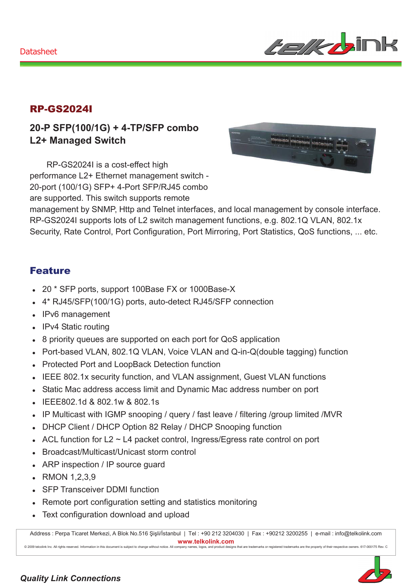

### RP-GS2024I

## **20-P SFP(100/1G) + 4-TP/SFP combo L2+ Managed Switch**

RP-GS2024I is a cost-effect high performance L2+ Ethernet management switch - 20-port (100/1G) SFP+ 4-Port SFP/RJ45 combo are supported. This switch supports remote



management by SNMP, Http and Telnet interfaces, and local management by console interface. RP-GS2024I supports lots of L2 switch management functions, e.g. 802.1Q VLAN, 802.1x Security, Rate Control, Port Configuration, Port Mirroring, Port Statistics, QoS functions, ... etc.

## Feature

- 20 \* SFP ports, support 100Base FX or 1000Base-X
- 4\* RJ45/SFP(100/1G) ports, auto-detect RJ45/SFP connection
- IPv6 management
- IPv4 Static routing
- 8 priority queues are supported on each port for QoS application
- Port-based VLAN, 802.1Q VLAN, Voice VLAN and Q-in-Q(double tagging) function
- Protected Port and LoopBack Detection function
- IEEE 802.1x security function, and VLAN assignment, Guest VLAN functions
- Static Mac address access limit and Dynamic Mac address number on port
- <sup>z</sup> IEEE802.1d & 802.1w & 802.1s
- IP Multicast with IGMP snooping / query / fast leave / filtering /group limited /MVR
- DHCP Client / DHCP Option 82 Relay / DHCP Snooping function
- ACL function for L2  $\sim$  L4 packet control, Ingress/Egress rate control on port
- Broadcast/Multicast/Unicast storm control
- ARP inspection / IP source guard
- $\cdot$  RMON 1.2,3,9
- SFP Transceiver DDMI function
- Remote port configuration setting and statistics monitoring
- Text configuration download and upload

Address : Perpa Ticaret Merkezi, A Blok No.516 Şişli/İstanbul | Tel : +90 212 3204030 | Fax : +90212 3200255 | e-mail : info@telkolink.com  $www.telkolink.com$ 

© 2009 te Icolink Inc. All rights re se rve d. Information in this docume nt is subje ct to change without notice . All company name s, logos, and product designs that are e trade marks or re giste :re ed trade emarks are : the : prope erty of the eir re spe etive: owne rs. 617-000175 Re v. C



#### **Quality Link Connections**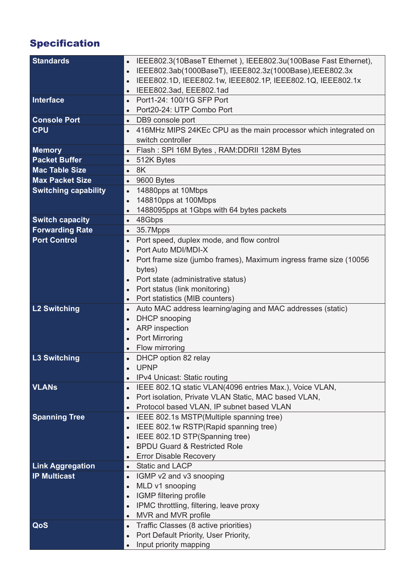# Specification

| <b>Standards</b>                                | IEEE802.3(10BaseT Ethernet), IEEE802.3u(100Base Fast Ethernet),<br>$\bullet$            |
|-------------------------------------------------|-----------------------------------------------------------------------------------------|
|                                                 | IEEE802.3ab(1000BaseT), IEEE802.3z(1000Base), IEEE802.3x<br>$\bullet$                   |
|                                                 | IEEE802.1D, IEEE802.1w, IEEE802.1P, IEEE802.1Q, IEEE802.1x                              |
|                                                 | IEEE802.3ad, EEE802.1ad<br>$\bullet$                                                    |
| Interface                                       | Port1-24: 100/1G SFP Port                                                               |
|                                                 | Port20-24: UTP Combo Port                                                               |
| <b>Console Port</b>                             | • DB9 console port                                                                      |
| <b>CPU</b>                                      | 416MHz MIPS 24KEc CPU as the main processor which integrated on                         |
|                                                 | switch controller                                                                       |
| <b>Memory</b>                                   | Flash: SPI 16M Bytes, RAM: DDRII 128M Bytes<br>$\bullet$                                |
| <b>Packet Buffer</b>                            | 512K Bytes<br>$\bullet$                                                                 |
| <b>Mac Table Size</b><br><b>Max Packet Size</b> | $-8K$                                                                                   |
|                                                 | 9600 Bytes<br>$\bullet$                                                                 |
| <b>Switching capability</b>                     | 14880pps at 10Mbps<br>$\bullet$<br>148810pps at 100Mbps                                 |
|                                                 | $\bullet$<br>1488095pps at 1Gbps with 64 bytes packets                                  |
| <b>Switch capacity</b>                          | $\bullet$ 48Gbps                                                                        |
| <b>Forwarding Rate</b>                          | 35.7Mpps<br>$\bullet$                                                                   |
| <b>Port Control</b>                             | Port speed, duplex mode, and flow control<br>$\bullet$                                  |
|                                                 | Port Auto MDI/MDI-X                                                                     |
|                                                 | Port frame size (jumbo frames), Maximum ingress frame size (10056                       |
|                                                 | bytes)                                                                                  |
|                                                 | Port state (administrative status)                                                      |
|                                                 | Port status (link monitoring)                                                           |
|                                                 | Port statistics (MIB counters)<br>$\bullet$                                             |
| <b>L2 Switching</b>                             | Auto MAC address learning/aging and MAC addresses (static)<br>$\bullet$                 |
|                                                 | <b>DHCP</b> snooping                                                                    |
|                                                 | <b>ARP</b> inspection                                                                   |
|                                                 | <b>Port Mirroring</b><br>$\bullet$                                                      |
|                                                 | Flow mirroring<br>$\bullet$                                                             |
| <b>L3 Switching</b>                             | DHCP option 82 relay                                                                    |
|                                                 | <b>UPNP</b>                                                                             |
| <b>VLANs</b>                                    | IPv4 Unicast: Static routing<br>IEEE 802.1Q static VLAN(4096 entries Max.), Voice VLAN, |
|                                                 | $\bullet$<br>Port isolation, Private VLAN Static, MAC based VLAN,                       |
|                                                 | Protocol based VLAN, IP subnet based VLAN<br>$\bullet$                                  |
| <b>Spanning Tree</b>                            | IEEE 802.1s MSTP (Multiple spanning tree)<br>$\bullet$                                  |
|                                                 | IEEE 802.1w RSTP(Rapid spanning tree)                                                   |
|                                                 | IEEE 802.1D STP(Spanning tree)                                                          |
|                                                 | <b>BPDU Guard &amp; Restricted Role</b>                                                 |
|                                                 | <b>Error Disable Recovery</b>                                                           |
| <b>Link Aggregation</b>                         | <b>Static and LACP</b><br>$\bullet$                                                     |
| <b>IP Multicast</b>                             | IGMP v2 and v3 snooping<br>$\bullet$                                                    |
|                                                 | MLD v1 snooping                                                                         |
|                                                 | IGMP filtering profile                                                                  |
|                                                 | IPMC throttling, filtering, leave proxy                                                 |
|                                                 | MVR and MVR profile<br>$\bullet$                                                        |
| QoS                                             | Traffic Classes (8 active priorities)<br>$\bullet$                                      |
|                                                 | Port Default Priority, User Priority,                                                   |
|                                                 | Input priority mapping<br>$\bullet$                                                     |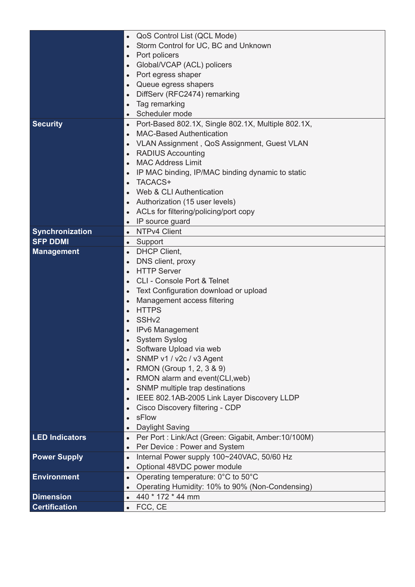|                        | QoS Control List (QCL Mode)                                      |
|------------------------|------------------------------------------------------------------|
|                        | Storm Control for UC, BC and Unknown<br>$\bullet$                |
|                        | Port policers                                                    |
|                        | Global/VCAP (ACL) policers                                       |
|                        | Port egress shaper<br>$\bullet$                                  |
|                        | Queue egress shapers                                             |
|                        | DiffServ (RFC2474) remarking                                     |
|                        | Tag remarking<br>$\bullet$                                       |
|                        | Scheduler mode                                                   |
| <b>Security</b>        | Port-Based 802.1X, Single 802.1X, Multiple 802.1X,<br>$\bullet$  |
|                        | <b>MAC-Based Authentication</b>                                  |
|                        | VLAN Assignment, QoS Assignment, Guest VLAN                      |
|                        | <b>RADIUS Accounting</b><br>$\bullet$                            |
|                        | <b>MAC Address Limit</b>                                         |
|                        | IP MAC binding, IP/MAC binding dynamic to static                 |
|                        | TACACS+                                                          |
|                        | Web & CLI Authentication                                         |
|                        | Authorization (15 user levels)                                   |
|                        | ACLs for filtering/policing/port copy<br>$\bullet$               |
|                        | IP source guard<br>$\bullet$                                     |
| <b>Synchronization</b> | NTPv4 Client<br>$\bullet$                                        |
| <b>SFP DDMI</b>        | Support<br>$\bullet$                                             |
| <b>Management</b>      | <b>DHCP Client,</b><br>$\bullet$                                 |
|                        | DNS client, proxy                                                |
|                        | <b>HTTP Server</b><br>$\bullet$                                  |
|                        | <b>CLI - Console Port &amp; Telnet</b>                           |
|                        | Text Configuration download or upload                            |
|                        | Management access filtering<br>$\bullet$                         |
|                        | <b>HTTPS</b>                                                     |
|                        | SSH <sub>v2</sub>                                                |
|                        | <b>IPv6 Management</b>                                           |
|                        | System Syslog                                                    |
|                        | Software Upload via web                                          |
|                        | SNMP v1 / v2c / v3 Agent                                         |
|                        | RMON (Group 1, 2, 3 & 9)                                         |
|                        | RMON alarm and event(CLI, web)                                   |
|                        | SNMP multiple trap destinations                                  |
|                        | IEEE 802.1AB-2005 Link Layer Discovery LLDP                      |
|                        | Cisco Discovery filtering - CDP                                  |
|                        | sFlow                                                            |
|                        | Daylight Saving<br>$\bullet$                                     |
| <b>LED Indicators</b>  | Per Port: Link/Act (Green: Gigabit, Amber: 10/100M)<br>$\bullet$ |
|                        | Per Device: Power and System<br>$\bullet$                        |
| <b>Power Supply</b>    | Internal Power supply 100~240VAC, 50/60 Hz<br>$\bullet$          |
|                        | Optional 48VDC power module<br>$\bullet$                         |
| <b>Environment</b>     | Operating temperature: 0°C to 50°C<br>$\bullet$                  |
|                        | Operating Humidity: 10% to 90% (Non-Condensing)<br>$\bullet$     |
| <b>Dimension</b>       | 440 * 172 * 44 mm<br>$\bullet$                                   |
| <b>Certification</b>   | FCC, CE<br>$\bullet$                                             |